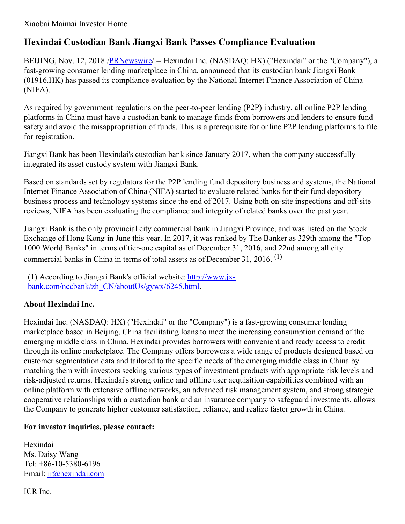## **Hexindai Custodian Bank Jiangxi Bank Passes Compliance Evaluation**

BEIJING, Nov. 12, 2018 [/PRNewswire](http://www.prnewswire.com/)/ -- Hexindai Inc. (NASDAQ: HX) ("Hexindai" or the "Company"), a fast-growing consumer lending marketplace in China, announced that its custodian bank Jiangxi Bank (01916.HK) has passed its compliance evaluation by the National Internet Finance Association of China (NIFA).

As required by government regulations on the peer-to-peer lending (P2P) industry, all online P2P lending platforms in China must have a custodian bank to manage funds from borrowers and lenders to ensure fund safety and avoid the misappropriation of funds. This is a prerequisite for online P2P lending platforms to file for registration.

Jiangxi Bank has been Hexindai's custodian bank since January 2017, when the company successfully integrated its asset custody system with Jiangxi Bank.

Based on standards set by regulators for the P2P lending fund depository business and systems, the National Internet Finance Association of China (NIFA) started to evaluate related banks for their fund depository business process and technology systems since the end of 2017. Using both on-site inspections and off-site reviews, NIFA has been evaluating the compliance and integrity of related banks over the past year.

Jiangxi Bank is the only provincial city commercial bank in Jiangxi Province, and was listed on the Stock Exchange of Hong Kong in June this year. In 2017, it was ranked by The Banker as 329th among the "Top 1000 World Banks" in terms of tier-one capital as of December 31, 2016, and 22nd among all city commercial banks in China in terms of total assets as of December 31, 2016.<sup>(1)</sup>

(1) According to Jiangxi Bank's official website: http://www.jx[bank.com/nccbank/zh\\_CN/aboutUs/gywx/6245.html.](http://www.jx-bank.com/nccbank/zh_CN/aboutUs/gywx/6245.html)

## **About Hexindai Inc.**

Hexindai Inc. (NASDAQ: HX) ("Hexindai" or the "Company") is a fast-growing consumer lending marketplace based in Beijing, China facilitating loans to meet the increasing consumption demand of the emerging middle class in China. Hexindai provides borrowers with convenient and ready access to credit through its online marketplace. The Company offers borrowers a wide range of products designed based on customer segmentation data and tailored to the specific needs of the emerging middle class in China by matching them with investors seeking various types of investment products with appropriate risk levels and risk-adjusted returns. Hexindai's strong online and offline user acquisition capabilities combined with an online platform with extensive offline networks, an advanced risk management system, and strong strategic cooperative relationships with a custodian bank and an insurance company to safeguard investments, allows the Company to generate higher customer satisfaction, reliance, and realize faster growth in China.

## **For investor inquiries, please contact:**

Hexindai Ms. Daisy Wang Tel: +86-10-5380-6196 Email: [ir@hexindai.com](mailto:ir@hexindai.com)

ICR Inc.